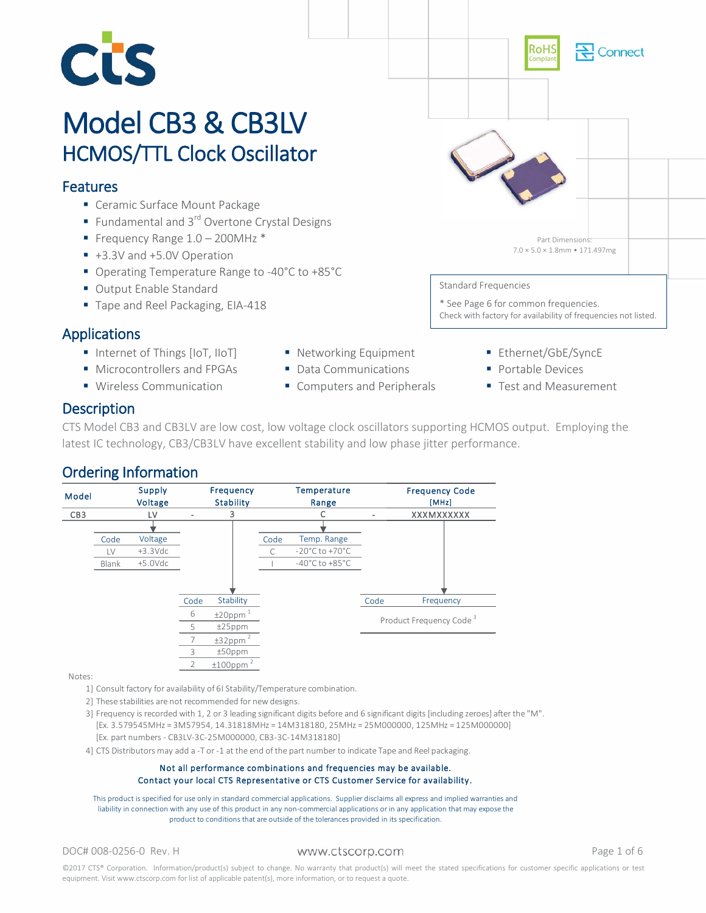

# Model CB3 & CB3LV<br>HCMOS/TTL Clock Oscillator

## Features

- Ceramic Surface Mount Package
- Fundamental and  $3^{rd}$  Overtone Crystal Designs
- Frequency Range  $1.0 200$ MHz  $*$
- +3.3V and +5.0V Operation
- Operating Temperature Range to -40°C to +85°C
- Output Enable Standard
- Tape and Reel Packaging, EIA-418

# Applications

- Internet of Things [IoT, IIoT]
- **Microcontrollers and FPGAs**
- **Wireless Communication**
- **Networking Equipment** Data Communications

Computers and Peripherals

**Ethernet/GbE/SyncE Portable Devices** 

\* See Page 6 for common frequencies.

Standard Frequencies

■ Test and Measurement

Check with factory for availability of frequencies not listed.

Part Dimensions: 7.0 × 5.0 × 1.8mm • 171.497mg

ionnect

# **Description**

CTS Model CB3 and CB3LV are low cost, low voltage clock oscillators supporting HCMOS output. Employing the latest IC technology, CB3/CB3LV have excellent stability and low phase jitter performance.

# Ordering Information



Notes:

- 1] Consult factory for availability of 6I Stability/Temperature combination.
- 2] These stabilities are not recommended for new designs.
- 3] Frequency is recorded with 1, 2 or 3 leading significant digits before and 6 significant digits [including zeroes] after the "M". [Ex. 3.579545MHz = 3M57954, 14.31818MHz = 14M318180, 25MHz = 25M000000, 125MHz = 125M000000]
- [Ex. part numbers CB3LV-3C-25M000000, CB3-3C-14M318180]
- 4] CTS Distributors may add a -T or -1 at the end of the part number to indicate Tape and Reel packaging.

#### Not all performance combinations and frequencies may be available. Contact your local CTS Representative or CTS Customer Service for availability.

This product is specified for use only in standard commercial applications. Supplier disclaims all express and implied warranties and liability in connection with any use of this product in any non-commercial applications or in any application that may expose the product to conditions that are outside of the tolerances provided in its specification.

DOC# 008-0256-0 Rev. H WWW.Ctscorp.com example that the Page 1 of 6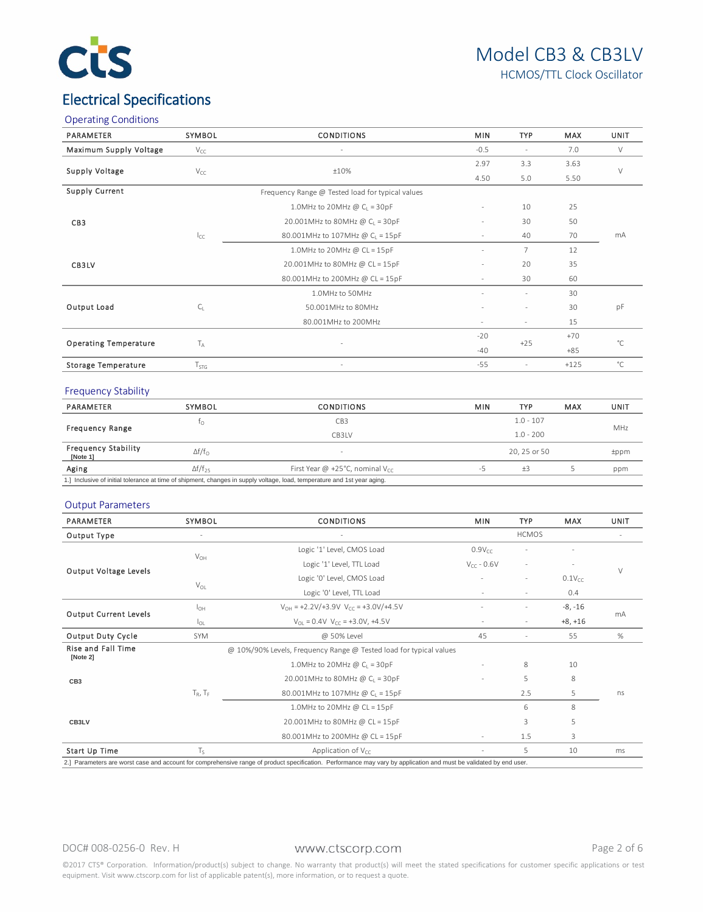

# Electrical Specifications

|  | <b>Operating Conditions</b> |
|--|-----------------------------|
|--|-----------------------------|

| PARAMETER                    | SYMBOL                               | <b>CONDITIONS</b>                                | <b>MIN</b>                               | <b>TYP</b> | MAX    | UNIT         |  |
|------------------------------|--------------------------------------|--------------------------------------------------|------------------------------------------|------------|--------|--------------|--|
| Maximum Supply Voltage       | $V_{CC}$<br>$\overline{\phantom{a}}$ |                                                  | $-0.5$                                   |            | 7.0    | $\vee$       |  |
| Supply Voltage               |                                      |                                                  | 2.97                                     | 3.3        | 3.63   | $\vee$       |  |
|                              | $V_{CC}$                             | ±10%                                             | 4.50                                     | 5.0        | 5.50   |              |  |
| Supply Current               |                                      | Frequency Range @ Tested load for typical values |                                          |            |        |              |  |
|                              |                                      | 1.0MHz to 20MHz @ $C_1 = 30pF$                   | $\sim$                                   | 10         | 25     | mA           |  |
| CB <sub>3</sub>              |                                      | 20.001MHz to 80MHz @ $C_1 = 30pF$                | $\sim$                                   | 30         | 50     |              |  |
|                              | $I_{CC}$                             | 80.001MHz to 107MHz @ CL = 15pF                  | $\sim$                                   | 40         | 70     |              |  |
|                              |                                      | 1.0MHz to 20MHz @ $CL = 15pF$                    | ٠                                        | 7          | 12     |              |  |
| CB3LV                        |                                      | 20.001MHz to 80MHz @ CL = 15pF                   | ÷.                                       | 20         | 35     |              |  |
|                              |                                      | 80.001MHz to 200MHz @ CL = 15pF                  | $\sim$                                   | 30         | 60     |              |  |
|                              |                                      | 1.0MHz to 50MHz                                  |                                          |            | 30     |              |  |
| Output Load                  | $C_{1}$                              | 50.001MHz to 80MHz                               |                                          |            | 30     | pF           |  |
|                              |                                      | 80.001MHz to 200MHz                              | 15<br>$\sim$<br>$\overline{\phantom{a}}$ |            |        |              |  |
| <b>Operating Temperature</b> | $T_A$                                |                                                  | $-20$                                    |            | $+70$  | $^{\circ}$ C |  |
|                              |                                      | ×,                                               | $-40$                                    | $+25$      | $+85$  |              |  |
| <b>Storage Temperature</b>   | $T_{STG}$                            |                                                  | $-55$                                    | ÷.         | $+125$ | $^{\circ}$ C |  |
|                              |                                      |                                                  |                                          |            |        |              |  |

### Frequency Stability

| PARAMETER                                                                                                                | SYMBOL                                                           | <b>CONDITIONS</b> |              | <b>TYP</b>  | MAX | UNIT       |
|--------------------------------------------------------------------------------------------------------------------------|------------------------------------------------------------------|-------------------|--------------|-------------|-----|------------|
|                                                                                                                          | IΩ                                                               | СВЗ               |              | $1.0 - 107$ |     |            |
| <b>Frequency Range</b>                                                                                                   |                                                                  | CB3LV             | $1.0 - 200$  |             |     | <b>MHz</b> |
| <b>Frequency Stability</b><br>[Note 1]                                                                                   | $\Delta f/f_{\Omega}$                                            |                   | 20, 25 or 50 |             |     | tppm       |
| Aging                                                                                                                    | $\Delta f/f_{25}$<br>First Year @ +25°C, nominal V <sub>cc</sub> |                   | -5           | $+3$        |     | ppm        |
| 1.] Inclusive of initial tolerance at time of shipment, changes in supply voltage, load, temperature and 1st year aging. |                                                                  |                   |              |             |     |            |

#### Output Parameters

| <b>PARAMETER</b>             | SYMBOL          | <b>CONDITIONS</b><br><b>MIN</b>                                               |                          | <b>TYP</b>               | <b>MAX</b>  | <b>UNIT</b> |  |
|------------------------------|-----------------|-------------------------------------------------------------------------------|--------------------------|--------------------------|-------------|-------------|--|
| Output Type                  |                 |                                                                               |                          | <b>HCMOS</b>             |             |             |  |
|                              |                 | Logic '1' Level, CMOS Load                                                    | $0.9V_{CC}$              |                          |             | $\vee$      |  |
|                              | $V_{OH}$        | Logic '1' Level, TTL Load                                                     | $V_{CC}$ - 0.6V          | $\sim$                   |             |             |  |
| Output Voltage Levels        |                 | Logic '0' Level, CMOS Load                                                    | ÷.                       | $\overline{\phantom{a}}$ | $0.1V_{CC}$ |             |  |
|                              | $V_{OL}$        | Logic '0' Level, TTL Load                                                     | $\sim$                   |                          | 0.4         |             |  |
|                              | I <sub>OH</sub> | $V_{OH} = +2.2 \text{V}/+3.9 \text{V}$ $V_{CC} = +3.0 \text{V}/+4.5 \text{V}$ |                          | $-8, -16$                |             |             |  |
| <b>Output Current Levels</b> | l <sub>ol</sub> | $V_{\text{OL}} = 0.4V$ $V_{\text{CC}} = +3.0V$ , +4.5V                        | $\overline{\phantom{a}}$ | $\sim$                   | $+8, +16$   | mA          |  |
| Output Duty Cycle            | <b>SYM</b>      | @ 50% Level                                                                   | 45                       |                          | 55          | %           |  |
| Rise and Fall Time           |                 | @ 10%/90% Levels, Frequency Range @ Tested load for typical values            |                          |                          |             |             |  |
| [Note 2]                     |                 | 1.0MHz to 20MHz @ $C_1 = 30pF$                                                |                          | 8                        | 10          |             |  |
| CB <sub>3</sub>              |                 | 20.001MHz to 80MHz @ C <sub>1</sub> = 30pF                                    |                          | 5                        | 8           |             |  |
|                              | $T_R$ , $T_F$   | 80.001MHz to 107MHz @ C <sub>I</sub> = 15pF                                   |                          | 2.5                      | 5           | ns          |  |
| CB3LV                        |                 | 1.0MHz to 20MHz @ $CL = 15pF$                                                 |                          | 6                        | 8           |             |  |
|                              |                 | 20.001MHz to 80MHz @ CL = 15pF                                                |                          | 3                        | 5           |             |  |
|                              |                 | 80.001MHz to 200MHz @ CL = 15pF                                               | $\sim$                   | 1.5                      | 3           |             |  |
| Start Up Time                | $T_{S}$         | Application of $V_{cc}$                                                       |                          | 5                        | 10          | ms          |  |

### DOC# 008-0256-0 Rev. H WWW.Ctscorp.com Number 2 of 6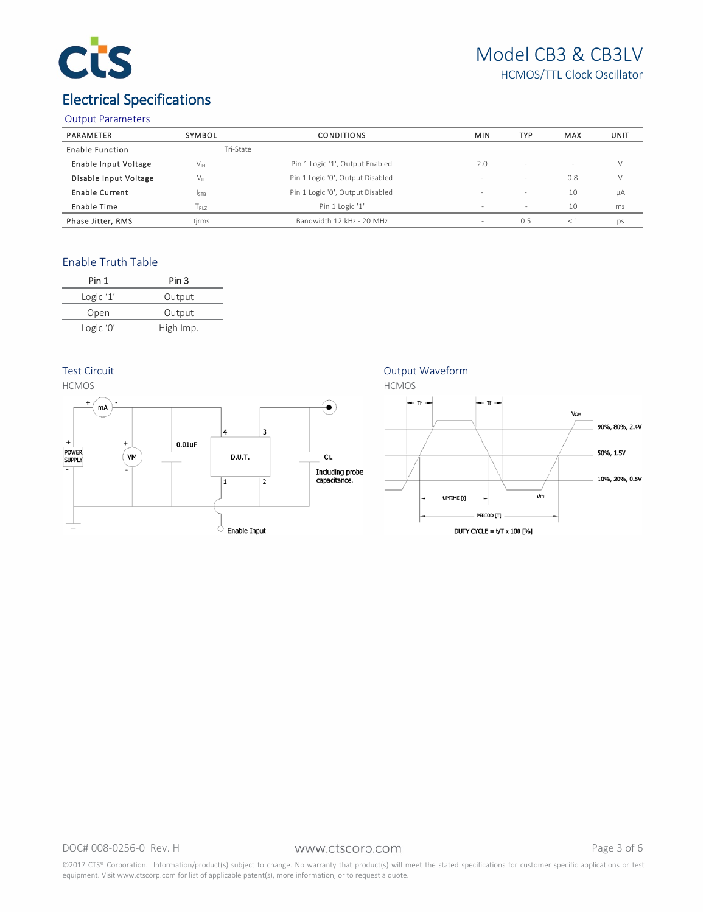

# Model CB3 & CB3LV HCMOS/TTL Clock Oscillator

# Electrical Specifications

#### Output Parameters

| PARAMETER                   | SYMBOL                     | <b>CONDITIONS</b>                | <b>MIN</b> | <b>TYP</b>               | MAX | UNIT |
|-----------------------------|----------------------------|----------------------------------|------------|--------------------------|-----|------|
| <b>Enable Function</b>      | Tri-State                  |                                  |            |                          |     |      |
| <b>Enable Input Voltage</b> | $\mathsf{V}_{\mathsf{IH}}$ | Pin 1 Logic '1', Output Enabled  | 2.0        | $\overline{\phantom{a}}$ |     | V    |
| Disable Input Voltage       | V11                        | Pin 1 Logic '0', Output Disabled | -          | $\overline{\phantom{a}}$ | 0.8 | V    |
| Enable Current              | I <sub>STB</sub>           | Pin 1 Logic '0', Output Disabled | ۰          | $\qquad \qquad =$        | 10  | μA   |
| Enable Time                 | 1p17                       | Pin 1 Logic '1'                  | $\sim$     | $\sim$                   | 10  | ms   |
| Phase Jitter, RMS           | tjrms                      | Bandwidth 12 kHz - 20 MHz        | -          | 0.5                      | <1  | ps   |

## Enable Truth Table

| Pin 1      | Pin 3     |
|------------|-----------|
| Logic $1'$ | Output    |
| Open       | Output    |
| Logic '0'  | High Imp. |
|            |           |

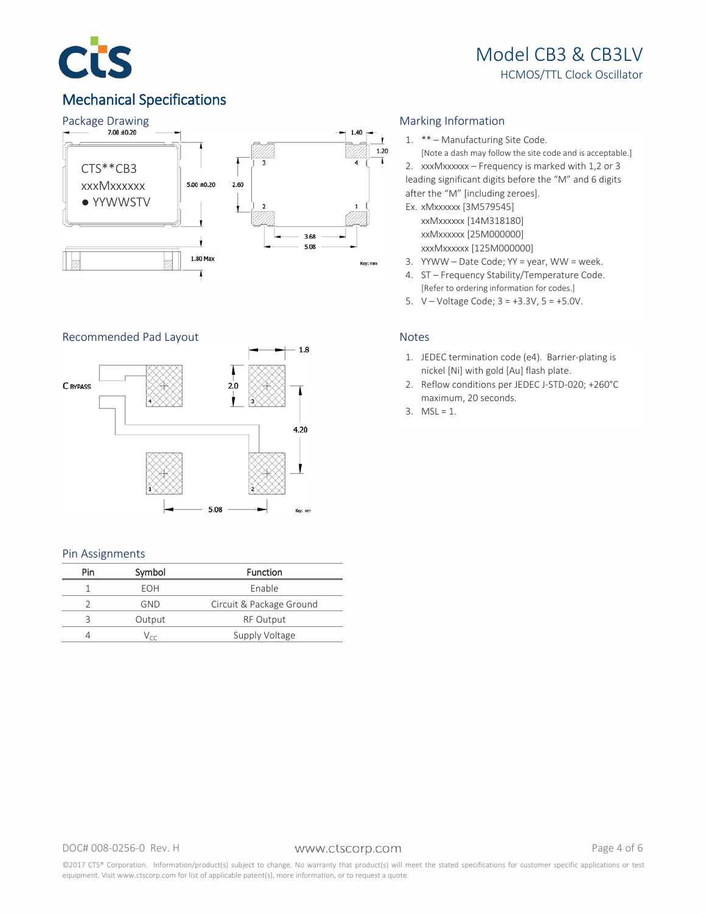

# Mechanical Specifications



## Recommended Pad Layout Notes



#### Pin Assignments

| Pin | Symbol                      | <b>Function</b>          |
|-----|-----------------------------|--------------------------|
|     | FOH                         | Enable                   |
|     | GND                         | Circuit & Package Ground |
|     | Output                      | <b>RF Output</b>         |
|     | $\mathcal{L}_{\mathcal{L}}$ | Supply Voltage           |

1. \*\* – Manufacturing Site Code.

[Note a dash may follow the site code and is acceptable.] 2. xxxMxxxxxx – Frequency is marked with 1,2 or 3 leading significant digits before the "M" and 6 digits after the "M" [including zeroes].

- Ex. xMxxxxxx [3M579545] xxMxxxxxx [14M318180] xxMxxxxxx [25M000000] xxxMxxxxxx [125M000000]
- 3. YYWW Date Code; YY = year, WW = week.
- 4. ST Frequency Stability/Temperature Code. [Refer to ordering information for codes.]
- 5. V Voltage Code; 3 = +3.3V, 5 = +5.0V.

- 1. JEDEC termination code (e4). Barrier-plating is nickel [Ni] with gold [Au] flash plate.
- 2. Reflow conditions per JEDEC J-STD-020; +260°C maximum, 20 seconds.
- 3.  $MSL = 1$ .

DOC# 008-0256-0 Rev. H WWW.Ctscorp.com example that the Page 4 of 6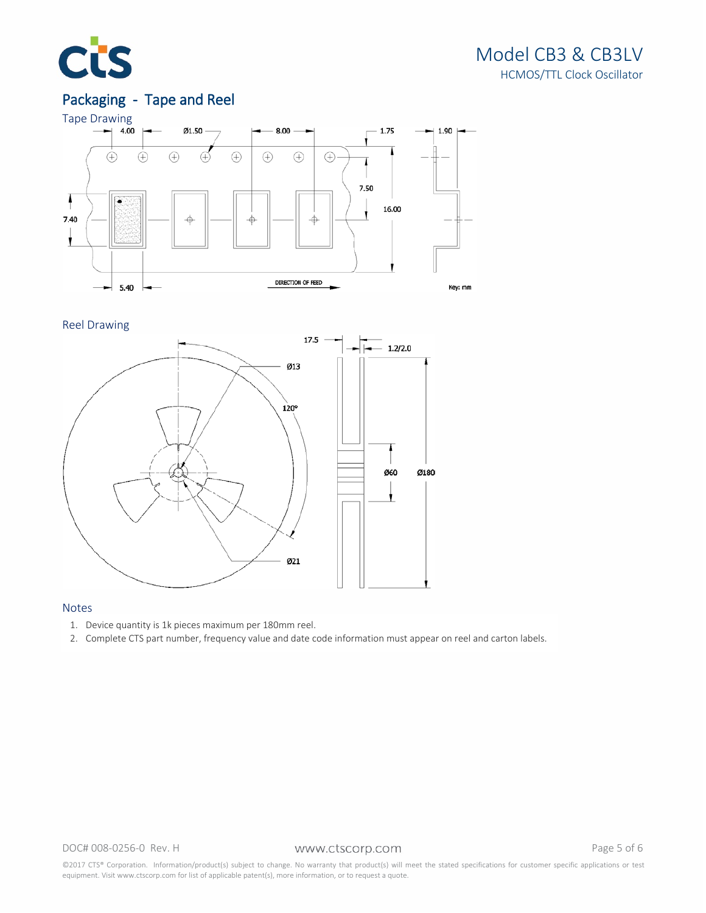

# Model CB3 & CB3LV HCMOS/TTL Clock Oscillator

# Packaging - Tape and Reel



Reel Drawing



## Notes

- 1. Device quantity is 1k pieces maximum per 180mm reel.
- 2. Complete CTS part number, frequency value and date code information must appear on reel and carton labels.